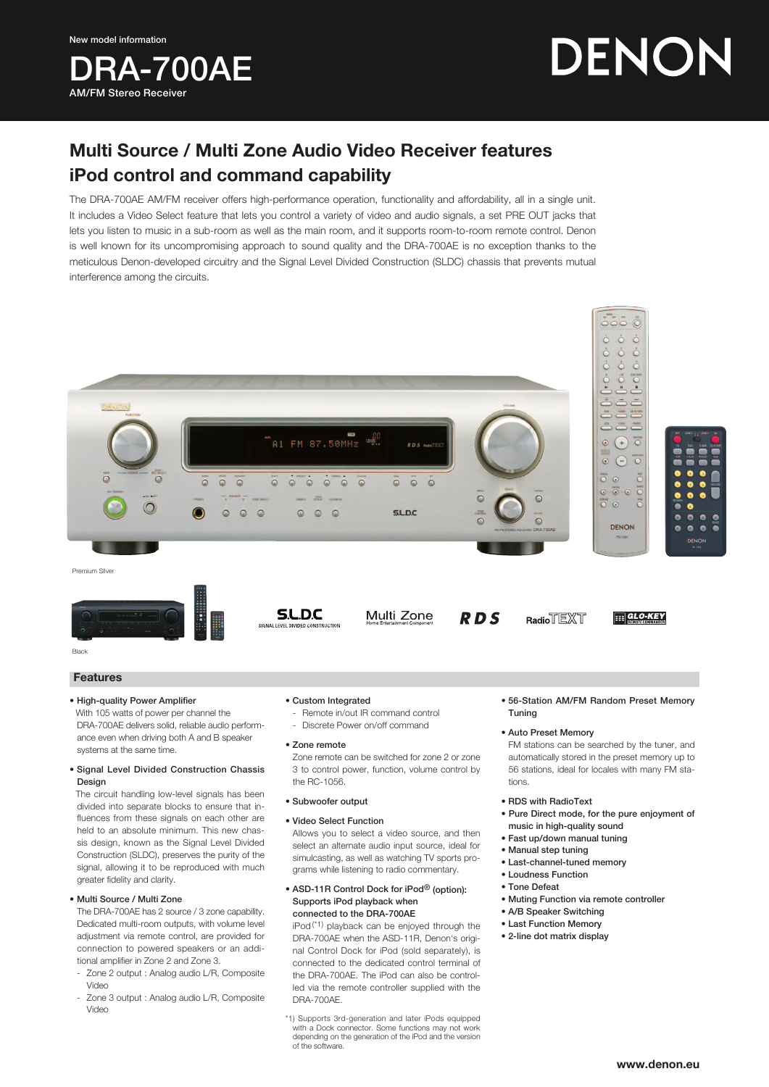AM/FM Stereo Receiver

**RA-700AE** 

DENON

# Multi Source / Multi Zone Audio Video Receiver features iPod control and command capability

The DRA-700AE AM/FM receiver offers high-performance operation, functionality and affordability, all in a single unit. It includes a Video Select feature that lets you control a variety of video and audio signals, a set PRE OUT jacks that lets you listen to music in a sub-room as well as the main room, and it supports room-to-room remote control. Denon is well known for its uncompromising approach to sound quality and the DRA-700AE is no exception thanks to the meticulous Denon-developed circuitry and the Signal Level Divided Construction (SLDC) chassis that prevents mutual interference among the circuits.



### • High-quality Power Amplifier

With 105 watts of power per channel the DRA-700AE delivers solid, reliable audio performance even when driving both A and B speaker systems at the same time.

### • Signal Level Divided Construction Chassis Design

The circuit handling low-level signals has been divided into separate blocks to ensure that influences from these signals on each other are held to an absolute minimum. This new chassis design, known as the Signal Level Divided Construction (SLDC), preserves the purity of the signal, allowing it to be reproduced with much greater fidelity and clarity.

### • Multi Source / Multi Zone

The DRA-700AE has 2 source / 3 zone capability. Dedicated multi-room outputs, with volume level adjustment via remote control, are provided for connection to powered speakers or an additional amplifier in Zone 2 and Zone 3.

- Zone 2 output : Analog audio L/R, Composite Video
- Zone 3 output : Analog audio L/R, Composite Video
- Custom Integrated
	- Remote in/out IR command control - Discrete Power on/off command
- Zone remote

Zone remote can be switched for zone 2 or zone 3 to control power, function, volume control by the RC-1056.

- Subwoofer output
- • Video Select Function

Allows you to select a video source, and then select an alternate audio input source, ideal for simulcasting, as well as watching TV sports programs while listening to radio commentary.

#### • ASD-11R Control Dock for iPod<sup>®</sup> (option): Supports iPod playback when connected to the DRA-700AE

 $i$ Pod<sup>(\*1)</sup> playback can be enjoyed through the DRA-700AE when the ASD-11R, Denon's original Control Dock for iPod (sold separately), is connected to the dedicated control terminal of the DRA-700AE. The iPod can also be controlled via the remote controller supplied with the DRA-700AE.

• 56-Station AM/FM Random Preset Memory Tuning

### • Auto Preset Memory

FM stations can be searched by the tuner, and automatically stored in the preset memory up to 56 stations, ideal for locales with many FM stations.

- RDS with RadioText
- Pure Direct mode, for the pure enjoyment of music in high-quality sound
- Fast up/down manual tuning
- Manual step tuning
- Last-channel-tuned memory
- Loudness Function
- Tone Defeat
- Muting Function via remote controller
- A/B Speaker Switching
- Last Function Memory
- 2-line dot matrix display

<sup>\*1)</sup> Supports 3rd-generation and later iPods equipped with a Dock connector. Some functions may not work depending on the generation of the iPod and the version of the software.